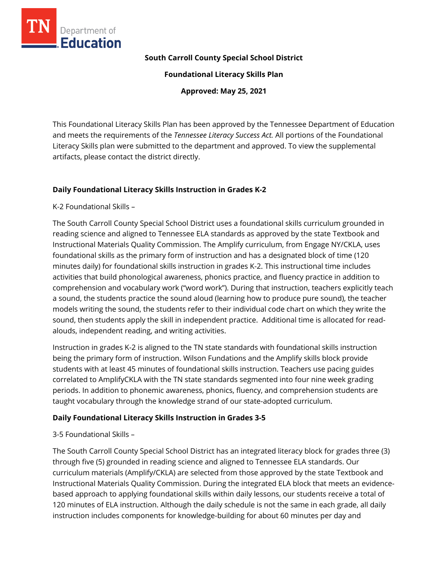

### **South Carroll County Special School District**

**Foundational Literacy Skills Plan**

**Approved: May 25, 2021**

This Foundational Literacy Skills Plan has been approved by the Tennessee Department of Education and meets the requirements of the *Tennessee Literacy Success Act.* All portions of the Foundational Literacy Skills plan were submitted to the department and approved. To view the supplemental artifacts, please contact the district directly.

### **Daily Foundational Literacy Skills Instruction in Grades K-2**

K-2 Foundational Skills –

The South Carroll County Special School District uses a foundational skills curriculum grounded in reading science and aligned to Tennessee ELA standards as approved by the state Textbook and Instructional Materials Quality Commission. The Amplify curriculum, from Engage NY/CKLA, uses foundational skills as the primary form of instruction and has a designated block of time (120 minutes daily) for foundational skills instruction in grades K-2. This instructional time includes activities that build phonological awareness, phonics practice, and fluency practice in addition to comprehension and vocabulary work ("word work"). During that instruction, teachers explicitly teach a sound, the students practice the sound aloud (learning how to produce pure sound), the teacher models writing the sound, the students refer to their individual code chart on which they write the sound, then students apply the skill in independent practice. Additional time is allocated for readalouds, independent reading, and writing activities.

Instruction in grades K-2 is aligned to the TN state standards with foundational skills instruction being the primary form of instruction. Wilson Fundations and the Amplify skills block provide students with at least 45 minutes of foundational skills instruction. Teachers use pacing guides correlated to AmplifyCKLA with the TN state standards segmented into four nine week grading periods. In addition to phonemic awareness, phonics, fluency, and comprehension students are taught vocabulary through the knowledge strand of our state-adopted curriculum.

### **Daily Foundational Literacy Skills Instruction in Grades 3-5**

3-5 Foundational Skills –

The South Carroll County Special School District has an integrated literacy block for grades three (3) through five (5) grounded in reading science and aligned to Tennessee ELA standards. Our curriculum materials (Amplify/CKLA) are selected from those approved by the state Textbook and Instructional Materials Quality Commission. During the integrated ELA block that meets an evidencebased approach to applying foundational skills within daily lessons, our students receive a total of 120 minutes of ELA instruction. Although the daily schedule is not the same in each grade, all daily instruction includes components for knowledge-building for about 60 minutes per day and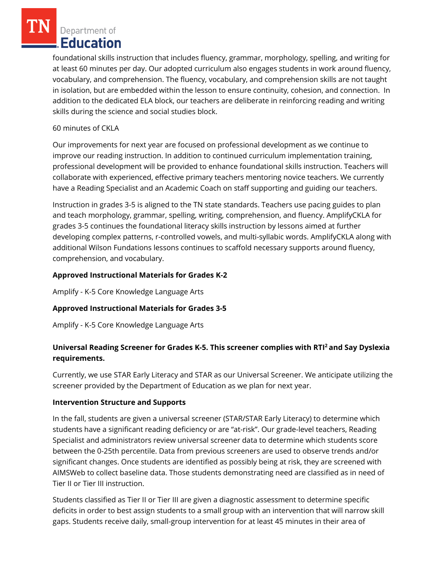Department of **Education** 

foundational skills instruction that includes fluency, grammar, morphology, spelling, and writing for at least 60 minutes per day. Our adopted curriculum also engages students in work around fluency, vocabulary, and comprehension. The fluency, vocabulary, and comprehension skills are not taught in isolation, but are embedded within the lesson to ensure continuity, cohesion, and connection. In addition to the dedicated ELA block, our teachers are deliberate in reinforcing reading and writing skills during the science and social studies block.

### 60 minutes of CKLA

Our improvements for next year are focused on professional development as we continue to improve our reading instruction. In addition to continued curriculum implementation training, professional development will be provided to enhance foundational skills instruction. Teachers will collaborate with experienced, effective primary teachers mentoring novice teachers. We currently have a Reading Specialist and an Academic Coach on staff supporting and guiding our teachers.

Instruction in grades 3-5 is aligned to the TN state standards. Teachers use pacing guides to plan and teach morphology, grammar, spelling, writing, comprehension, and fluency. AmplifyCKLA for grades 3-5 continues the foundational literacy skills instruction by lessons aimed at further developing complex patterns, r-controlled vowels, and multi-syllabic words. AmplifyCKLA along with additional Wilson Fundations lessons continues to scaffold necessary supports around fluency, comprehension, and vocabulary.

# **Approved Instructional Materials for Grades K-2**

Amplify - K-5 Core Knowledge Language Arts

# **Approved Instructional Materials for Grades 3-5**

Amplify - K-5 Core Knowledge Language Arts

# **Universal Reading Screener for Grades K-5. This screener complies with RTI<sup>2</sup>and Say Dyslexia requirements.**

Currently, we use STAR Early Literacy and STAR as our Universal Screener. We anticipate utilizing the screener provided by the Department of Education as we plan for next year.

### **Intervention Structure and Supports**

In the fall, students are given a universal screener (STAR/STAR Early Literacy) to determine which students have a significant reading deficiency or are "at-risk". Our grade-level teachers, Reading Specialist and administrators review universal screener data to determine which students score between the 0-25th percentile. Data from previous screeners are used to observe trends and/or significant changes. Once students are identified as possibly being at risk, they are screened with AIMSWeb to collect baseline data. Those students demonstrating need are classified as in need of Tier II or Tier III instruction.

Students classified as Tier II or Tier III are given a diagnostic assessment to determine specific deficits in order to best assign students to a small group with an intervention that will narrow skill gaps. Students receive daily, small-group intervention for at least 45 minutes in their area of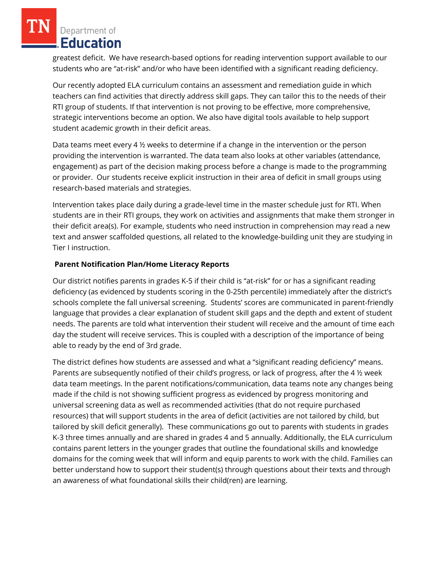Department of **Education** 

greatest deficit. We have research-based options for reading intervention support available to our students who are "at-risk" and/or who have been identified with a significant reading deficiency.

Our recently adopted ELA curriculum contains an assessment and remediation guide in which teachers can find activities that directly address skill gaps. They can tailor this to the needs of their RTI group of students. If that intervention is not proving to be effective, more comprehensive, strategic interventions become an option. We also have digital tools available to help support student academic growth in their deficit areas.

Data teams meet every 4 ½ weeks to determine if a change in the intervention or the person providing the intervention is warranted. The data team also looks at other variables (attendance, engagement) as part of the decision making process before a change is made to the programming or provider. Our students receive explicit instruction in their area of deficit in small groups using research-based materials and strategies.

Intervention takes place daily during a grade-level time in the master schedule just for RTI. When students are in their RTI groups, they work on activities and assignments that make them stronger in their deficit area(s). For example, students who need instruction in comprehension may read a new text and answer scaffolded questions, all related to the knowledge-building unit they are studying in Tier I instruction.

# **Parent Notification Plan/Home Literacy Reports**

Our district notifies parents in grades K-5 if their child is "at-risk" for or has a significant reading deficiency (as evidenced by students scoring in the 0-25th percentile) immediately after the district's schools complete the fall universal screening. Students' scores are communicated in parent-friendly language that provides a clear explanation of student skill gaps and the depth and extent of student needs. The parents are told what intervention their student will receive and the amount of time each day the student will receive services. This is coupled with a description of the importance of being able to ready by the end of 3rd grade.

The district defines how students are assessed and what a "significant reading deficiency" means. Parents are subsequently notified of their child's progress, or lack of progress, after the 4 ½ week data team meetings. In the parent notifications/communication, data teams note any changes being made if the child is not showing sufficient progress as evidenced by progress monitoring and universal screening data as well as recommended activities (that do not require purchased resources) that will support students in the area of deficit (activities are not tailored by child, but tailored by skill deficit generally). These communications go out to parents with students in grades K-3 three times annually and are shared in grades 4 and 5 annually. Additionally, the ELA curriculum contains parent letters in the younger grades that outline the foundational skills and knowledge domains for the coming week that will inform and equip parents to work with the child. Families can better understand how to support their student(s) through questions about their texts and through an awareness of what foundational skills their child(ren) are learning.